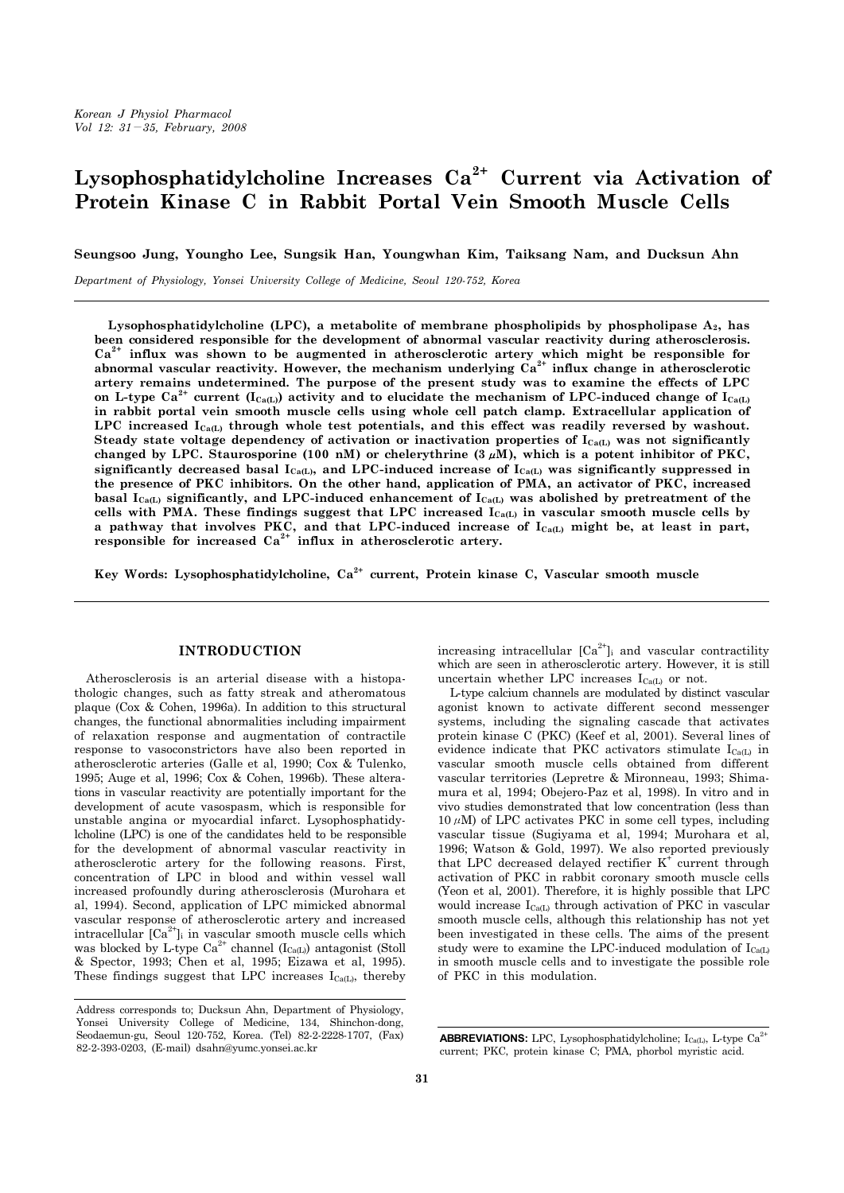# **Lysophosphatidylcholine Increases Ca2+ Current via Activation of Protein Kinase C in Rabbit Portal Vein Smooth Muscle Cells**

**Seungsoo Jung, Youngho Lee, Sungsik Han, Youngwhan Kim, Taiksang Nam, and Ducksun Ahn**

*Department of Physiology, Yonsei University College of Medicine, Seoul 120-752, Korea*

Lysophosphatidylcholine (LPC), a metabolite of membrane phospholipids by phospholipase A<sub>2</sub>, has **been considered responsible for the development of abnormal vascular reactivity during atherosclerosis. Ca2+ influx was shown to be augmented in atherosclerotic artery which might be responsible for**  abnormal vascular reactivity. However, the mechanism underlying Ca<sup>2+</sup> influx change in atherosclerotic **artery remains undetermined. The purpose of the present study was to examine the effects of LPC**  on L-type  $\text{Ca}^{2+}$  current (I<sub>Ca(L)</sub>) activity and to elucidate the mechanism of LPC-induced change of I<sub>Ca(L)</sub> **in rabbit portal vein smooth muscle cells using whole cell patch clamp. Extracellular application of**  LPC increased I<sub>Ca(L)</sub> through whole test potentials, and this effect was readily reversed by washout. Steady state voltage dependency of activation or inactivation properties of I<sub>Ca(L)</sub> was not significantly **changed by LPC. Staurosporine (100 nM) or chelerythrine (3**μ**M), which is a potent inhibitor of PKC,**  significantly decreased basal  $I_{Ca(L)}$ , and LPC-induced increase of  $I_{Ca(L)}$  was significantly suppressed in **the presence of PKC inhibitors. On the other hand, application of PMA, an activator of PKC, increased**  basal I<sub>Ca(L)</sub> significantly, and LPC-induced enhancement of I<sub>Ca(L)</sub> was abolished by pretreatment of the cells with PMA. These findings suggest that LPC increased I<sub>Ca(L)</sub> in vascular smooth muscle cells by a pathway that involves PKC, and that LPC-induced increase of  $I_{Ca(L)}$  might be, at least in part, **responsible for increased Ca2+ influx in atherosclerotic artery.**

**Key Words: Lysophosphatidylcholine, Ca2+ current, Protein kinase C, Vascular smooth muscle**

# **INTRODUCTION**

 Atherosclerosis is an arterial disease with a histopathologic changes, such as fatty streak and atheromatous plaque (Cox & Cohen, 1996a). In addition to this structural changes, the functional abnormalities including impairment of relaxation response and augmentation of contractile response to vasoconstrictors have also been reported in atherosclerotic arteries (Galle et al, 1990; Cox & Tulenko, 1995; Auge et al, 1996; Cox & Cohen, 1996b). These alterations in vascular reactivity are potentially important for the development of acute vasospasm, which is responsible for unstable angina or myocardial infarct. Lysophosphatidylcholine (LPC) is one of the candidates held to be responsible for the development of abnormal vascular reactivity in atherosclerotic artery for the following reasons. First, concentration of LPC in blood and within vessel wall increased profoundly during atherosclerosis (Murohara et al, 1994). Second, application of LPC mimicked abnormal vascular response of atherosclerotic artery and increased intracellular  $[Ca^{2+}]$ <sub>i</sub> in vascular smooth muscle cells which was blocked by L-type  $Ca^{2+}$  channel ( $I_{Ca(L)}$ ) antagonist (Stoll & Spector, 1993; Chen et al, 1995; Eizawa et al, 1995). These findings suggest that LPC increases  $I_{Ca(L)}$ , thereby

increasing intracellular  $[Ca^{2+}]$ <sub>i</sub> and vascular contractility which are seen in atherosclerotic artery. However, it is still uncertain whether LPC increases  $I_{Ca(L)}$  or not.

 L-type calcium channels are modulated by distinct vascular agonist known to activate different second messenger systems, including the signaling cascade that activates protein kinase C (PKC) (Keef et al, 2001). Several lines of evidence indicate that PKC activators stimulate  $I_{Ca(L)}$  in vascular smooth muscle cells obtained from different vascular territories (Lepretre & Mironneau, 1993; Shimamura et al, 1994; Obejero-Paz et al, 1998). In vitro and in vivo studies demonstrated that low concentration (less than  $10 \mu$ M) of LPC activates PKC in some cell types, including vascular tissue (Sugiyama et al, 1994; Murohara et al, 1996; Watson & Gold, 1997). We also reported previously that LPC decreased delayed rectifier  $K^+$  current through activation of PKC in rabbit coronary smooth muscle cells (Yeon et al, 2001). Therefore, it is highly possible that LPC would increase  $I_{Ca(L)}$  through activation of PKC in vascular smooth muscle cells, although this relationship has not yet been investigated in these cells. The aims of the present study were to examine the LPC-induced modulation of  $I_{Ca(L)}$ in smooth muscle cells and to investigate the possible role of PKC in this modulation.

Address corresponds to; Ducksun Ahn, Department of Physiology, Yonsei University College of Medicine, 134, Shinchon-dong, Seodaemun-gu, Seoul 120-752, Korea. (Tel) 82-2-2228-1707, (Fax) 82-2-393-0203, (E-mail) dsahn@yumc.yonsei.ac.kr

**ABBREVIATIONS:** LPC, Lysophosphatidylcholine;  $I_{Ca(L)}$ , L-type  $Ca^{2+}$ current; PKC, protein kinase C; PMA, phorbol myristic acid.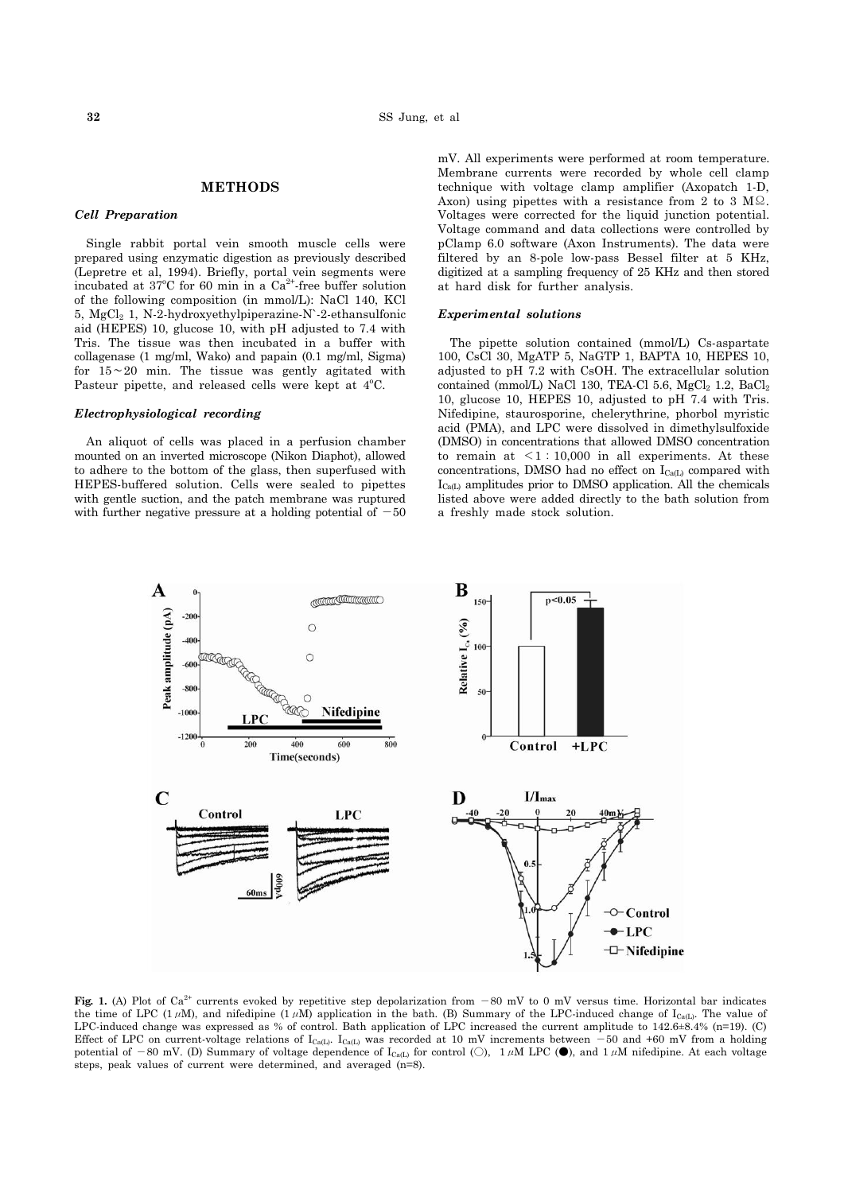# **METHODS**

## *Cell Preparation*

 Single rabbit portal vein smooth muscle cells were prepared using enzymatic digestion as previously described (Lepretre et al, 1994). Briefly, portal vein segments were incubated at  $37^{\circ}$ C for 60 min in a Ca<sup>2+</sup> free buffer solution of the following composition (in mmol/L): NaCl 140, KCl 5,  $MgCl<sub>2</sub>$  1, N-2-hydroxyethylpiperazine-N`-2-ethansulfonic aid (HEPES) 10, glucose 10, with pH adjusted to 7.4 with Tris. The tissue was then incubated in a buffer with collagenase (1 mg/ml, Wako) and papain (0.1 mg/ml, Sigma) for 15∼20 min. The tissue was gently agitated with Pasteur pipette, and released cells were kept at 4°C.

## *Electrophysiological recording*

 An aliquot of cells was placed in a perfusion chamber mounted on an inverted microscope (Nikon Diaphot), allowed to adhere to the bottom of the glass, then superfused with HEPES-buffered solution. Cells were sealed to pipettes with gentle suction, and the patch membrane was ruptured with further negative pressure at a holding potential of  $-50$ 

mV. All experiments were performed at room temperature. Membrane currents were recorded by whole cell clamp technique with voltage clamp amplifier (Axopatch 1-D, Axon) using pipettes with a resistance from 2 to 3  $\text{M}\Omega$ . Voltages were corrected for the liquid junction potential. Voltage command and data collections were controlled by pClamp 6.0 software (Axon Instruments). The data were filtered by an 8-pole low-pass Bessel filter at 5 KHz, digitized at a sampling frequency of 25 KHz and then stored at hard disk for further analysis.

#### *Experimental solutions*

 The pipette solution contained (mmol/L) Cs-aspartate 100, CsCl 30, MgATP 5, NaGTP 1, BAPTA 10, HEPES 10, adjusted to pH 7.2 with CsOH. The extracellular solution contained (mmol/L) NaCl 130, TEA-Cl 5.6,  $MgCl<sub>2</sub>$  1.2,  $BaCl<sub>2</sub>$ 10, glucose 10, HEPES 10, adjusted to pH 7.4 with Tris. Nifedipine, staurosporine, chelerythrine, phorbol myristic acid (PMA), and LPC were dissolved in dimethylsulfoxide (DMSO) in concentrations that allowed DMSO concentration to remain at  $\leq 1:10,000$  in all experiments. At these concentrations, DMSO had no effect on  $I_{Ca(L)}$  compared with  $I_{\text{Ca}(L)}$  amplitudes prior to DMSO application. All the chemicals listed above were added directly to the bath solution from a freshly made stock solution.



**Fig. 1.** (A) Plot of Ca<sup>2+</sup> currents evoked by repetitive step depolarization from  $-80$  mV to 0 mV versus time. Horizontal bar indicates the time of LPC (1μM), and nifedipine (1μM) application in the bath. (B) Summary of the LPC-induced change of I<sub>Ca(L)</sub>. The value of LPC-induced change was expressed as % of control. Bath application of LPC increased the current amplitude to 142.6±8.4% (n=19). (C) Effect of LPC on current-voltage relations of  $I_{Ca(L)}$ .  $I_{Ca(L)}$  was recorded at 10 mV increments between  $-50$  and +60 mV from a holding potential of -80 mV. (D) Summary of voltage dependence of  $I_{\text{Ca(L)}}$  for control (O), 1µM LPC ( $\bullet$ ), and 1µM nifedipine. At each voltage steps, peak values of current were determined, and averaged (n=8).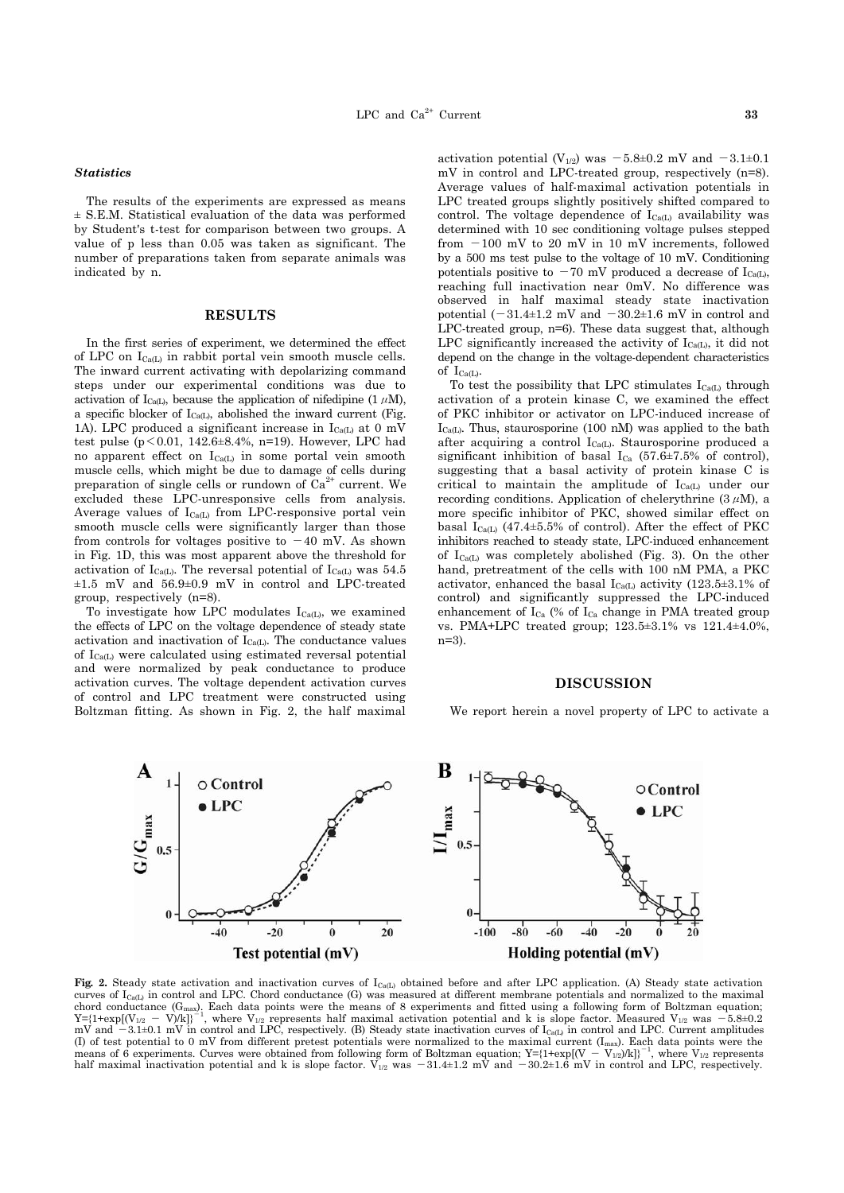#### *Statistics*

 The results of the experiments are expressed as means ± S.E.M. Statistical evaluation of the data was performed by Student's t-test for comparison between two groups. A value of p less than 0.05 was taken as significant. The number of preparations taken from separate animals was indicated by n.

## **RESULTS**

 In the first series of experiment, we determined the effect of LPC on  $I_{Ca(L)}$  in rabbit portal vein smooth muscle cells. The inward current activating with depolarizing command steps under our experimental conditions was due to activation of I<sub>Ca(L)</sub>, because the application of nifedipine (1  $\mu$ M), a specific blocker of  $I_{Ca(L)}$ , abolished the inward current (Fig. 1A). LPC produced a significant increase in  $I_{Ca(L)}$  at 0 mV test pulse ( $p < 0.01$ , 142.6 $\pm 8.4$ %, n=19). However, LPC had no apparent effect on  $I_{Ca(L)}$  in some portal vein smooth muscle cells, which might be due to damage of cells during preparation of single cells or rundown of  $Ca^{2+}$  current. We excluded these LPC-unresponsive cells from analysis. Average values of  $I_{Ca(L)}$  from LPC-responsive portal vein smooth muscle cells were significantly larger than those from controls for voltages positive to  $-40$  mV. As shown in Fig. 1D, this was most apparent above the threshold for activation of  $I_{Ca(L)}$ . The reversal potential of  $I_{Ca(L)}$  was 54.5  $\pm 1.5$  mV and  $56.9\pm 0.9$  mV in control and LPC-treated group, respectively (n=8).

To investigate how LPC modulates  $I_{Ca(L)}$ , we examined the effects of LPC on the voltage dependence of steady state activation and inactivation of  $I_{C<sub>0</sub>(L)}$ . The conductance values of ICa(L) were calculated using estimated reversal potential and were normalized by peak conductance to produce activation curves. The voltage dependent activation curves of control and LPC treatment were constructed using Boltzman fitting. As shown in Fig. 2, the half maximal

activation potential (V<sub>1/2</sub>) was  $-5.8\pm0.2$  mV and  $-3.1\pm0.1$ mV in control and LPC-treated group, respectively (n=8). Average values of half-maximal activation potentials in LPC treated groups slightly positively shifted compared to control. The voltage dependence of  $I_{Ca(L)}$  availability was determined with 10 sec conditioning voltage pulses stepped from  $-100$  mV to 20 mV in 10 mV increments, followed by a 500 ms test pulse to the voltage of 10 mV. Conditioning potentials positive to  $-70$  mV produced a decrease of I<sub>Ca(L)</sub>, reaching full inactivation near 0mV. No difference was observed in half maximal steady state inactivation potential  $(-31.4\pm1.2 \text{ mV}$  and  $-30.2\pm1.6 \text{ mV}$  in control and LPC-treated group, n=6). These data suggest that, although LPC significantly increased the activity of  $I_{Ca(L)}$ , it did not depend on the change in the voltage-dependent characteristics

of  $I_{Ca(L)}$ . To test the possibility that LPC stimulates  $I_{C<sub>8</sub>(L)}$  through activation of a protein kinase C, we examined the effect of PKC inhibitor or activator on LPC-induced increase of  $I_{Ca(L)}$ . Thus, staurosporine (100 nM) was applied to the bath after acquiring a control I<sub>Ca(L)</sub>. Staurosporine produced a significant inhibition of basal  $I_{Ca}$  (57.6±7.5% of control), suggesting that a basal activity of protein kinase C is critical to maintain the amplitude of  $I_{Ca(L)}$  under our recording conditions. Application of chelerythrine  $(3 \mu M)$ , a more specific inhibitor of PKC, showed similar effect on basal  $I_{Ca(L)}$  (47.4±5.5% of control). After the effect of PKC inhibitors reached to steady state, LPC-induced enhancement of  $I_{Ca(L)}$  was completely abolished (Fig. 3). On the other hand, pretreatment of the cells with 100 nM PMA, a PKC activator, enhanced the basal  $I_{Ca(L)}$  activity (123.5 $\pm$ 3.1% of control) and significantly suppressed the LPC-induced enhancement of  $I_{Ca}$  (% of  $I_{Ca}$  change in PMA treated group vs. PMA+LPC treated group; 123.5±3.1% vs 121.4±4.0%, n=3).

#### **DISCUSSION**

We report herein a novel property of LPC to activate a



Fig. 2. Steady state activation and inactivation curves of I<sub>Ca(L)</sub> obtained before and after LPC application. (A) Steady state activation curves of  $I_{Ca(1)}$  in control and LPC. Chord conductance (G) was measured at different membrane potentials and normalized to the maximal chord conductance ( $G$ max). Each data points were the means of 8 experiments and fitted using a following form of Boltzman equation;<br>
Y={1+expl(V<sub>1/9</sub> – V)/kl}<sup>-1</sup>, where V<sub>1/9</sub> represents half maximal activation potentia  $Y= {1+\exp[(V_{1/2} - V)/k]}^2$ <sup>1</sup>, where  $V_{1/2}$  represents half maximal activation potential and k is slope factor. Measured  $V_{1/2}$  was mV and  $-3.1\pm0.1$  mV in control and LPC, respectively. (B) Steady state inactivation curves of  $I_{C_8(L)}$  in control and LPC. Current amplitudes (I) of test potential to 0 mV from different pretest potentials were normalized to the maximal current (I<sub>max</sub>). Each data points were the means of 6 experiments. Curves were obtained from following form of Boltzman equat half maximal inactivation potential and k is slope factor.  $V_{1/2}$  was  $-31.4\pm1.2$  mV and  $-30.2\pm1.6$  mV in control and LPC, respectively.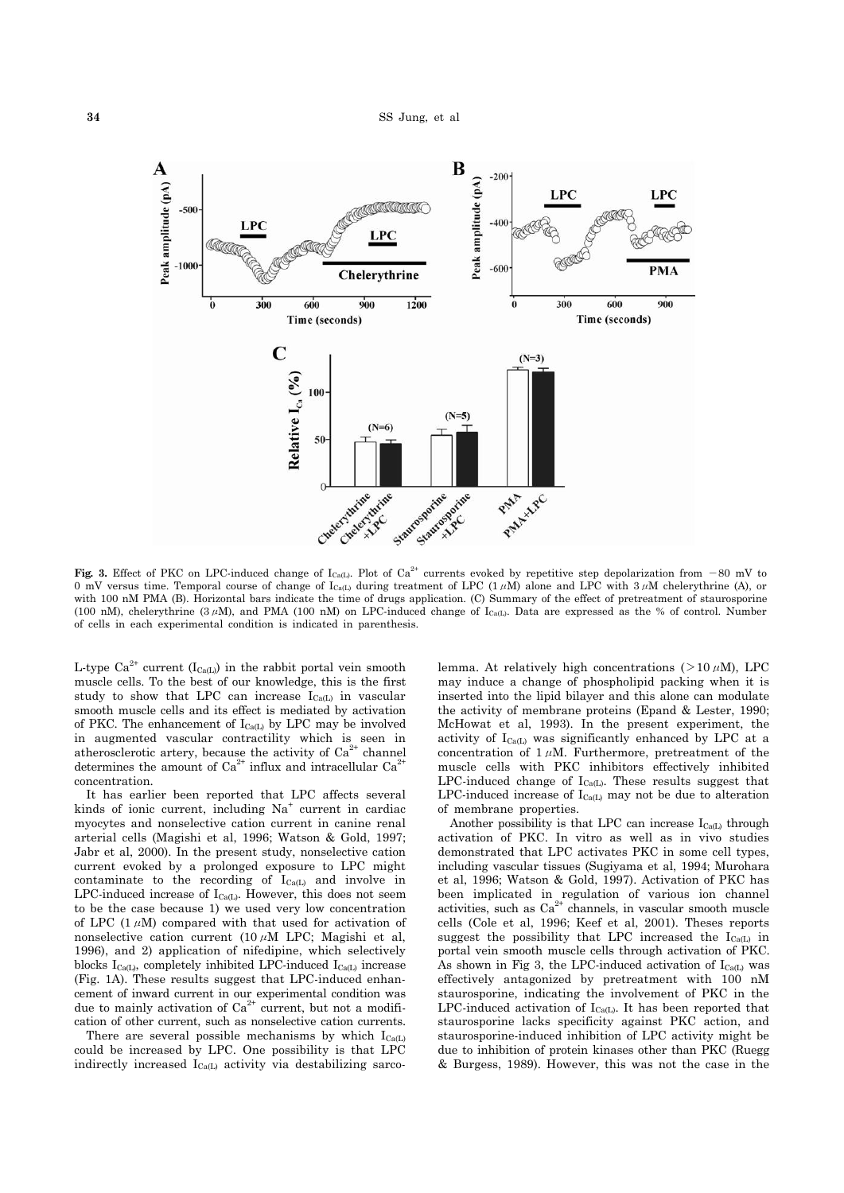

**Fig. 3.** Effect of PKC on LPC-induced change of  $I_{\text{Cat}}$ . Plot of Ca<sup>2+</sup> currents evoked by repetitive step depolarization from -80 mV to 0 mV versus time. Temporal course of change of  $I_{\text{Ca}(L)}$  during treatment of LPC (1µM) alone and LPC with 3µM chelerythrine (A), or with 100 nM PMA (B). Horizontal bars indicate the time of drugs application. (C) Summary of the effect of pretreatment of staurosporine (100 nM), chelerythrine (3µM), and PMA (100 nM) on LPC-induced change of  $I_{Ca(L)}$ . Data are expressed as the % of control. Number of cells in each experimental condition is indicated in parenthesis.

L-type  $Ca^{2+}$  current (I<sub>Ca(L)</sub>) in the rabbit portal vein smooth muscle cells. To the best of our knowledge, this is the first study to show that LPC can increase  $I_{Ca(1)}$  in vascular smooth muscle cells and its effect is mediated by activation of PKC. The enhancement of  $I_{Ca(L)}$  by LPC may be involved in augmented vascular contractility which is seen in atherosclerotic artery, because the activity of  $Ca^{2+}$  channel determines the amount of  $Ca^{2+}$  influx and intracellular  $Ca^{2+}$ concentration.

 It has earlier been reported that LPC affects several kinds of ionic current, including Na<sup>+</sup> current in cardiac myocytes and nonselective cation current in canine renal arterial cells (Magishi et al, 1996; Watson & Gold, 1997; Jabr et al, 2000). In the present study, nonselective cation current evoked by a prolonged exposure to LPC might contaminate to the recording of  $I_{Ca(L)}$  and involve in LPC-induced increase of  $I_{Ca(L)}$ . However, this does not seem to be the case because 1) we used very low concentration of LPC (1 $\mu$ M) compared with that used for activation of nonselective cation current  $(10 \mu M$  LPC; Magishi et al, 1996), and 2) application of nifedipine, which selectively blocks  $I_{Ca(L)}$ , completely inhibited LPC-induced  $I_{Ca(L)}$  increase (Fig. 1A). These results suggest that LPC-induced enhancement of inward current in our experimental condition was due to mainly activation of  $Ca^{2+}$  current, but not a modification of other current, such as nonselective cation currents.

There are several possible mechanisms by which  $I_{Ca(L)}$ could be increased by LPC. One possibility is that LPC indirectly increased  $I_{Ca(L)}$  activity via destabilizing sarco-

lemma. At relatively high concentrations ( $>10 \mu$ M), LPC may induce a change of phospholipid packing when it is inserted into the lipid bilayer and this alone can modulate the activity of membrane proteins (Epand & Lester, 1990; McHowat et al, 1993). In the present experiment, the activity of  $I_{Ca(L)}$  was significantly enhanced by LPC at a concentration of  $1 \mu M$ . Furthermore, pretreatment of the muscle cells with PKC inhibitors effectively inhibited LPC-induced change of  $I_{Ca(L)}$ . These results suggest that LPC-induced increase of  $I_{Ca(L)}$  may not be due to alteration of membrane properties.

Another possibility is that LPC can increase  $I_{Ca(L)}$  through activation of PKC. In vitro as well as in vivo studies demonstrated that LPC activates PKC in some cell types, including vascular tissues (Sugiyama et al, 1994; Murohara et al, 1996; Watson & Gold, 1997). Activation of PKC has been implicated in regulation of various ion channel  $\alpha$ ctivities, such as  $Ca^{2+}$  channels, in vascular smooth muscle cells (Cole et al, 1996; Keef et al, 2001). Theses reports suggest the possibility that LPC increased the  $I_{Ca(L)}$  in portal vein smooth muscle cells through activation of PKC. As shown in Fig 3, the LPC-induced activation of  $I_{Ca(L)}$  was effectively antagonized by pretreatment with 100 nM staurosporine, indicating the involvement of PKC in the LPC-induced activation of  $I_{Ca(L)}$ . It has been reported that staurosporine lacks specificity against PKC action, and staurosporine-induced inhibition of LPC activity might be due to inhibition of protein kinases other than PKC (Ruegg & Burgess, 1989). However, this was not the case in the